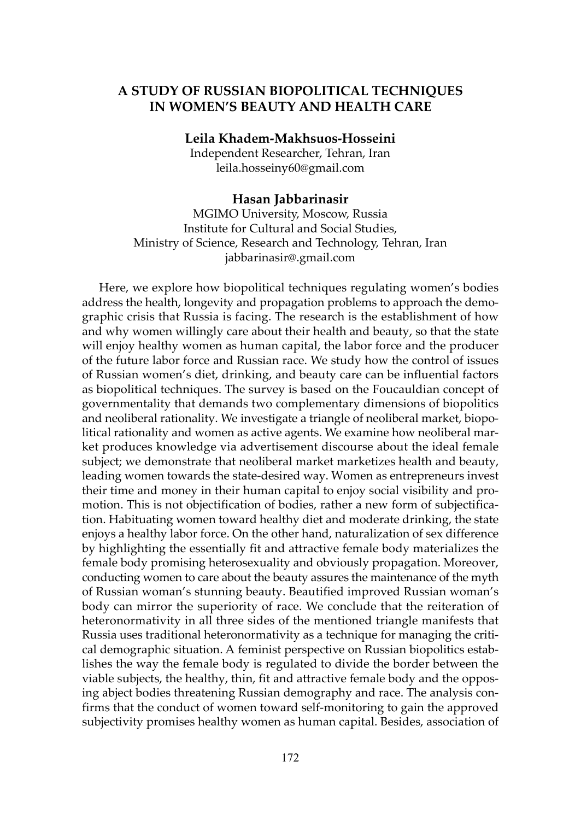## A STUDY OF RUSSIAN BIOPOLITICAL TECHNIQUES IN WOMEN'S BEAUTY AND HEALTH CARE

Leila Khadem-Makhsuos-Hosseini

Independent Researcher, Tehran, Iran leila.hosseiny60@gmail.com

#### Hasan Jabbarinasir

MGIMO University, Moscow, Russia Institute for Cultural and Social Studies, Ministry of Science, Research and Technology, Tehran, Iran jabbarinasir@.gmail.com

Here, we explore how biopolitical techniques regulating women's bodies address the health, longevity and propagation problems to approach the demographic crisis that Russia is facing. The research is the establishment of how and why women willingly care about their health and beauty, so that the state will enjoy healthy women as human capital, the labor force and the producer of the future labor force and Russian race. We study how the control of issues of Russian women's diet, drinking, and beauty care can be influential factors as biopolitical techniques. The survey is based on the Foucauldian concept of governmentality that demands two complementary dimensions of biopolitics and neoliberal rationality. We investigate a triangle of neoliberal market, biopolitical rationality and women as active agents. We examine how neoliberal market produces knowledge via advertisement discourse about the ideal female subject; we demonstrate that neoliberal market marketizes health and beauty, leading women towards the state-desired way. Women as entrepreneurs invest their time and money in their human capital to enjoy social visibility and promotion. This is not objectification of bodies, rather a new form of subjectification. Habituating women toward healthy diet and moderate drinking, the state enjoys a healthy labor force. On the other hand, naturalization of sex difference by highlighting the essentially fit and attractive female body materializes the female body promising heterosexuality and obviously propagation. Moreover, conducting women to care about the beauty assures the maintenance of the myth of Russian woman's stunning beauty. Beautified improved Russian woman's body can mirror the superiority of race. We conclude that the reiteration of heteronormativity in all three sides of the mentioned triangle manifests that Russia uses traditional heteronormativity as a technique for managing the critical demographic situation. A feminist perspective on Russian biopolitics establishes the way the female body is regulated to divide the border between the viable subjects, the healthy, thin, fit and attractive female body and the opposing abject bodies threatening Russian demography and race. The analysis confirms that the conduct of women toward self-monitoring to gain the approved subjectivity promises healthy women as human capital. Besides, association of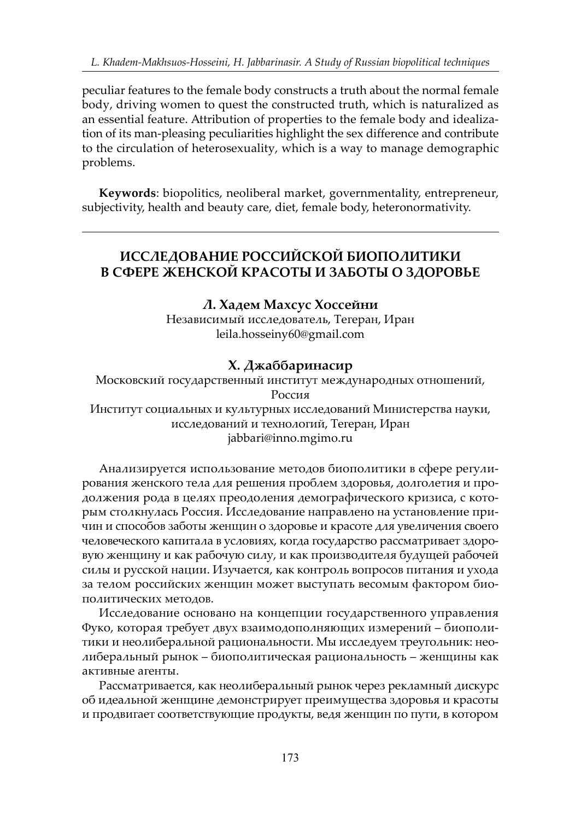peculiar features to the female body constructs a truth about the normal female body, driving women to quest the constructed truth, which is naturalized as an essential feature. Attribution of properties to the female body and idealization of its man-pleasing peculiarities highlight the sex difference and contribute to the circulation of heterosexuality, which is a way to manage demographic problems.

Keywords: biopolitics, neoliberal market, governmentality, entrepreneur, subjectivity, health and beauty care, diet, female body, heteronormativity.

# ИССЛЕДОВАНИЕ РОССИЙСКОЙ БИОПОЛИТИКИ В СФЕРЕ ЖЕНСКОЙ КРАСОТЫ И ЗАБОТЫ О ЗДОРОВЬЕ

#### Л. Хадем Махсус Хоссейни

Независимый исследователь, Тегеран, Иран leila.hosseiny60@gmail.com

### Х. Джаббаринасир

Московский государственный институт международных отношений, Россия Институт социальных и культурных исследований Министерства науки, исследований и технологий, Тегеран, Иран

jabbari@inno.mgimo.ru

Анализируется использование методов биополитики в сфере регулирования женского тела для решения проблем здоровья, долголетия и продолжения рода в целях преодоления демографического кризиса, с которым столкнулась Россия. Исследование направлено на установление причин и способов заботы женщин о здоровье и красоте для увеличения своего человеческого капитала в условиях, когда государство рассматривает здоровую женщину и как рабочую силу, и как производителя будущей рабочей силы и русской нации. Изучается, как контроль вопросов питания и ухода за телом российских женщин может выступать весомым фактором биополитических методов.

Исследование основано на концепции государственного управления Фуко, которая требует двух взаимодополняющих измерений – биополитики и неолиберальной рациональности. Мы исследуем треугольник: неолиберальный рынок – биополитическая рациональность – женщины как активные агенты.

Рассматривается, как неолиберальный рынок через рекламный дискурс об идеальной женщине демонстрирует преимущества здоровья и красоты и продвигает соответствующие продукты, ведя женщин по пути, в котором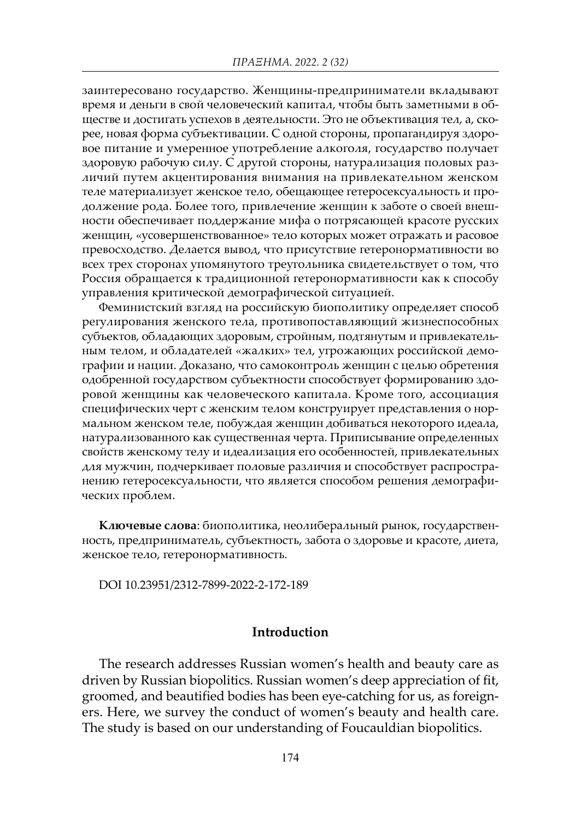заинтересовано государство. Женщины-предприниматели вкладывают время и деньги в свой человеческий капитал, чтобы быть заметными в обществе и достигать успехов в деятельности. Это не объективация тел, а, скорее, новая форма субъективации. С одной стороны, пропагандируя здоровое питание и умеренное употребление алкоголя, государство получает здоровую рабочую силу. С другой стороны, натурализация половых различий путем акцентирования внимания на привлекательном женском теле материализует женское тело, обещающее гетеросексуальность и продолжение рода. Более того, привлечение женщин к заботе о своей внешности обеспечивает поддержание мифа о потрясающей красоте русских женщин, «усовершенствованное» тело которых может отражать и расовое превосходство. Делается вывод, что присутствие гетеронормативности во всех трех сторонах упомянутого треугольника свидетельствует о том, что Россия обращается к традиционной гетеронормативности как к способу управления критической демографической ситуацией.

Феминистский взгляд на российскую биополитику определяет способ регулирования женского тела, противопоставляющий жизнеспособных субъектов, обладающих здоровым, стройным, подтянутым и привлекательным телом, и обладателей «жалких» тел, угрожающих российской демографии и нации. Доказано, что самоконтроль женщин с целью обретения одобренной государством субъектности способствует формированию здоровой женщины как человеческого капитала. Кроме того, ассоциация специфических черт с женским телом конструирует представления о нормальном женском теле, побуждая женщин добиваться некоторого идеала, натурализованного как существенная черта. Приписывание определенных свойств женскому телу и идеализация его особенностей, привлекательных для мужчин, подчеркивает половые различия и способствует распространению гетеросексуальности, что является способом решения демографических проблем.

Ключевые слова: биополитика, неолиберальный рынок, государственность, предприниматель, субъектность, забота о здоровье и красоте, диета, женское тело, гетеронормативность.

DOI 10.23951/2312-7899-2022-2-172-189

### Introduction

The research addresses Russian women's health and beauty care as driven by Russian biopolitics. Russian women's deep appreciation of fit, groomed, and beautified bodies has been eye-catching for us, as foreigners. Here, we survey the conduct of women's beauty and health care. The study is based on our understanding of Foucauldian biopolitics.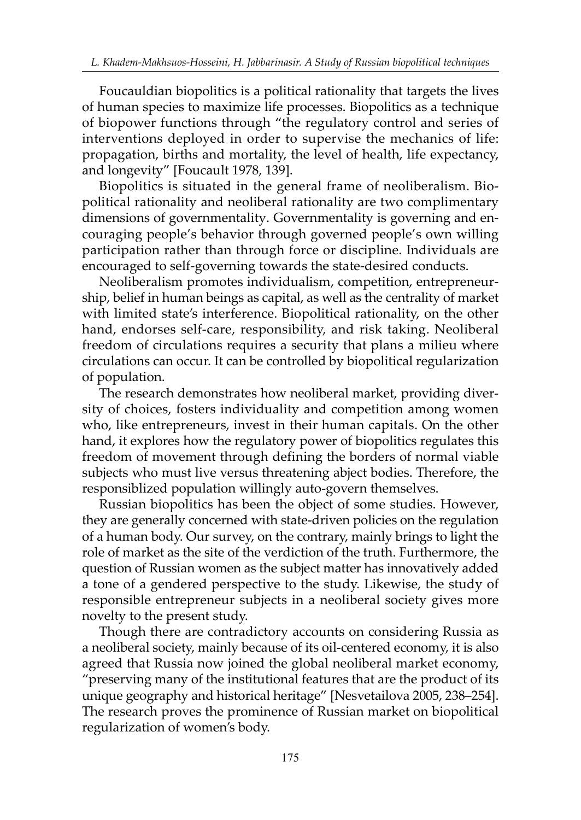Foucauldian biopolitics is a political rationality that targets the lives of human species to maximize life processes. Biopolitics as a technique of biopower functions through "the regulatory control and series of interventions deployed in order to supervise the mechanics of life: propagation, births and mortality, the level of health, life expectancy, and longevity" [Foucault 1978, 139].

Biopolitics is situated in the general frame of neoliberalism. Biopolitical rationality and neoliberal rationality are two complimentary dimensions of governmentality. Governmentality is governing and encouraging people's behavior through governed people's own willing participation rather than through force or discipline. Individuals are encouraged to self-governing towards the state-desired conducts.

Neoliberalism promotes individualism, competition, entrepreneurship, belief in human beings as capital, as well as the centrality of market with limited state's interference. Biopolitical rationality, on the other hand, endorses self-care, responsibility, and risk taking. Neoliberal freedom of circulations requires a security that plans a milieu where circulations can occur. It can be controlled by biopolitical regularization of population.

The research demonstrates how neoliberal market, providing diversity of choices, fosters individuality and competition among women who, like entrepreneurs, invest in their human capitals. On the other hand, it explores how the regulatory power of biopolitics regulates this freedom of movement through defining the borders of normal viable subjects who must live versus threatening abject bodies. Therefore, the responsiblized population willingly auto-govern themselves.

Russian biopolitics has been the object of some studies. However, they are generally concerned with state-driven policies on the regulation of a human body. Our survey, on the contrary, mainly brings to light the role of market as the site of the verdiction of the truth. Furthermore, the question of Russian women as the subject matter has innovatively added a tone of a gendered perspective to the study. Likewise, the study of responsible entrepreneur subjects in a neoliberal society gives more novelty to the present study.

Though there are contradictory accounts on considering Russia as a neoliberal society, mainly because of its oil-centered economy, it is also agreed that Russia now joined the global neoliberal market economy, "preserving many of the institutional features that are the product of its unique geography and historical heritage" [Nesvetailova 2005, 238–254]. The research proves the prominence of Russian market on biopolitical regularization of women's body.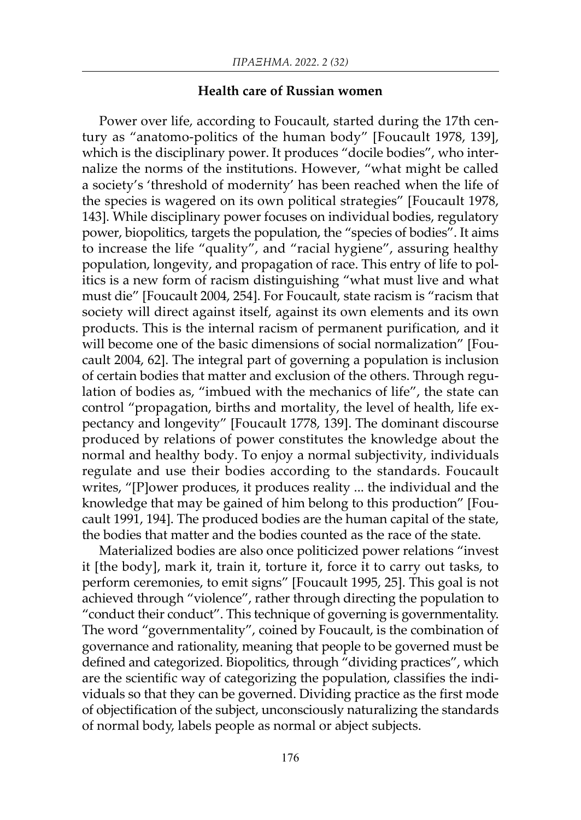#### Health care of Russian women

Power over life, according to Foucault, started during the 17th century as "anatomo-politics of the human body" [Foucault 1978, 139], which is the disciplinary power. It produces "docile bodies", who internalize the norms of the institutions. However, "what might be called a society's 'threshold of modernity' has been reached when the life of the species is wagered on its own political strategies" [Foucault 1978, 143]. While disciplinary power focuses on individual bodies, regulatory power, biopolitics, targets the population, the "species of bodies". It aims to increase the life "quality", and "racial hygiene", assuring healthy population, longevity, and propagation of race. This entry of life to politics is a new form of racism distinguishing "what must live and what must die" [Foucault 2004, 254]. For Foucault, state racism is "racism that society will direct against itself, against its own elements and its own products. This is the internal racism of permanent purification, and it will become one of the basic dimensions of social normalization" [Foucault 2004, 62]. The integral part of governing a population is inclusion of certain bodies that matter and exclusion of the others. Through regulation of bodies as, "imbued with the mechanics of life", the state can control "propagation, births and mortality, the level of health, life expectancy and longevity" [Foucault 1778, 139]. The dominant discourse produced by relations of power constitutes the knowledge about the normal and healthy body. To enjoy a normal subjectivity, individuals regulate and use their bodies according to the standards. Foucault writes, "[P]ower produces, it produces reality ... the individual and the knowledge that may be gained of him belong to this production" [Foucault 1991, 194]. The produced bodies are the human capital of the state, the bodies that matter and the bodies counted as the race of the state.

Materialized bodies are also once politicized power relations "invest it [the body], mark it, train it, torture it, force it to carry out tasks, to perform ceremonies, to emit signs" [Foucault 1995, 25]. This goal is not achieved through "violence", rather through directing the population to "conduct their conduct". This technique of governing is governmentality. The word "governmentality", coined by Foucault, is the combination of governance and rationality, meaning that people to be governed must be defined and categorized. Biopolitics, through "dividing practices", which are the scientific way of categorizing the population, classifies the individuals so that they can be governed. Dividing practice as the first mode of objectification of the subject, unconsciously naturalizing the standards of normal body, labels people as normal or abject subjects.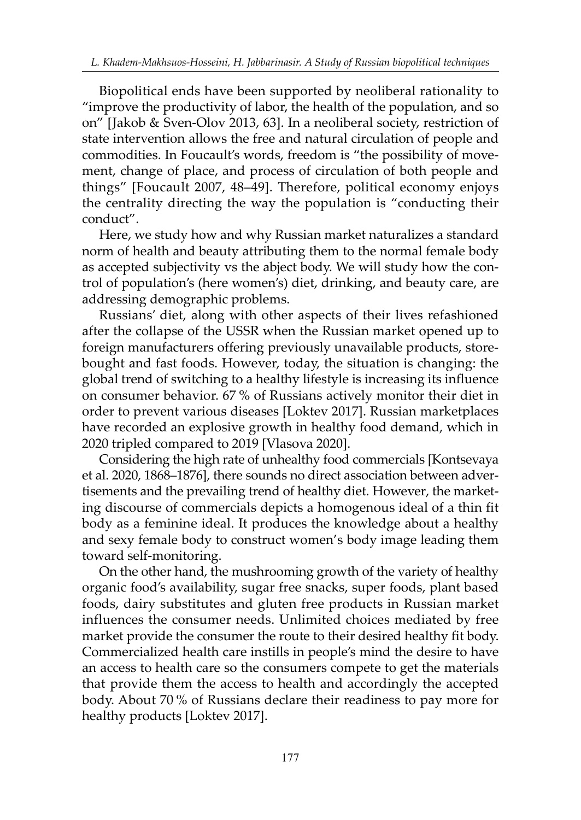Biopolitical ends have been supported by neoliberal rationality to "improve the productivity of labor, the health of the population, and so on" [Jakob & Sven-Olov 2013, 63]. In a neoliberal society, restriction of state intervention allows the free and natural circulation of people and commodities. In Foucault's words, freedom is "the possibility of movement, change of place, and process of circulation of both people and things" [Foucault 2007, 48–49]. Therefore, political economy enjoys the centrality directing the way the population is "conducting their conduct".

Here, we study how and why Russian market naturalizes a standard norm of health and beauty attributing them to the normal female body as accepted subjectivity vs the abject body. We will study how the control of population's (here women's) diet, drinking, and beauty care, are addressing demographic problems.

Russians' diet, along with other aspects of their lives refashioned after the collapse of the USSR when the Russian market opened up to foreign manufacturers offering previously unavailable products, storebought and fast foods. However, today, the situation is changing: the global trend of switching to a healthy lifestyle is increasing its influence on consumer behavior. 67 % of Russians actively monitor their diet in order to prevent various diseases [Loktev 2017]. Russian marketplaces have recorded an explosive growth in healthy food demand, which in 2020 tripled compared to 2019 [Vlasova 2020].

Considering the high rate of unhealthy food commercials [Kontsevaya et al. 2020, 1868–1876], there sounds no direct association between advertisements and the prevailing trend of healthy diet. However, the marketing discourse of commercials depicts a homogenous ideal of a thin fit body as a feminine ideal. It produces the knowledge about a healthy and sexy female body to construct women's body image leading them toward self-monitoring.

On the other hand, the mushrooming growth of the variety of healthy organic food's availability, sugar free snacks, super foods, plant based foods, dairy substitutes and gluten free products in Russian market influences the consumer needs. Unlimited choices mediated by free market provide the consumer the route to their desired healthy fit body. Commercialized health care instills in people's mind the desire to have an access to health care so the consumers compete to get the materials that provide them the access to health and accordingly the accepted body. About 70 % of Russians declare their readiness to pay more for healthy products [Loktev 2017].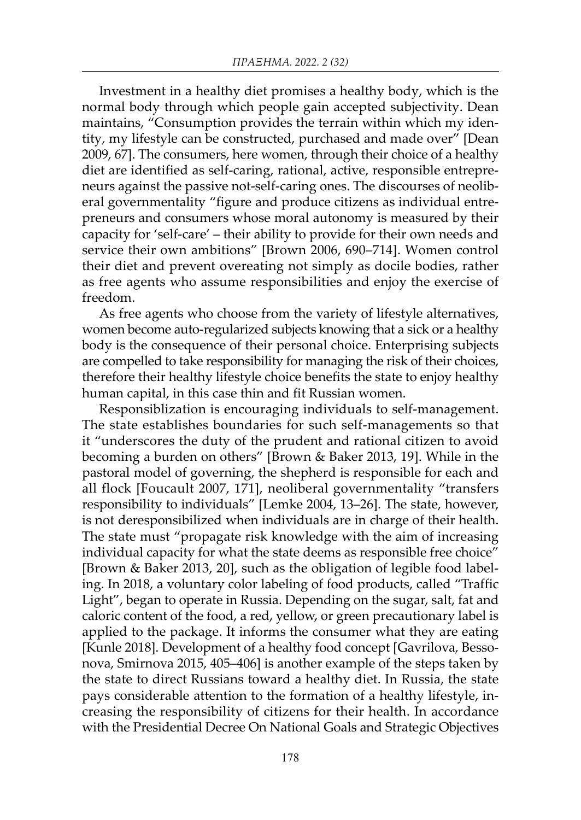Investment in a healthy diet promises a healthy body, which is the normal body through which people gain accepted subjectivity. Dean maintains, "Consumption provides the terrain within which my identity, my lifestyle can be constructed, purchased and made over" [Dean 2009, 67]. The consumers, here women, through their choice of a healthy diet are identified as self-caring, rational, active, responsible entrepreneurs against the passive not-self-caring ones. The discourses of neoliberal governmentality "figure and produce citizens as individual entrepreneurs and consumers whose moral autonomy is measured by their capacity for 'self-care' – their ability to provide for their own needs and service their own ambitions" [Brown 2006, 690–714]. Women control their diet and prevent overeating not simply as docile bodies, rather as free agents who assume responsibilities and enjoy the exercise of freedom.

As free agents who choose from the variety of lifestyle alternatives, women become auto-regularized subjects knowing that a sick or a healthy body is the consequence of their personal choice. Enterprising subjects are compelled to take responsibility for managing the risk of their choices, therefore their healthy lifestyle choice benefits the state to enjoy healthy human capital, in this case thin and fit Russian women.

Responsiblization is encouraging individuals to self-management. The state establishes boundaries for such self-managements so that it "underscores the duty of the prudent and rational citizen to avoid becoming a burden on others" [Brown & Baker 2013, 19]. While in the pastoral model of governing, the shepherd is responsible for each and all flock [Foucault 2007, 171], neoliberal governmentality "transfers responsibility to individuals" [Lemke 2004, 13–26]. The state, however, is not deresponsibilized when individuals are in charge of their health. The state must "propagate risk knowledge with the aim of increasing individual capacity for what the state deems as responsible free choice" [Brown & Baker 2013, 20], such as the obligation of legible food labeling. In 2018, a voluntary color labeling of food products, called "Traffic Light", began to operate in Russia. Depending on the sugar, salt, fat and caloric content of the food, a red, yellow, or green precautionary label is applied to the package. It informs the consumer what they are eating [Kunle 2018]. Development of a healthy food concept [Gavrilova, Bessonova, Smirnova 2015, 405–406] is another example of the steps taken by the state to direct Russians toward a healthy diet. In Russia, the state pays considerable attention to the formation of a healthy lifestyle, increasing the responsibility of citizens for their health. In accordance with the Presidential Decree On National Goals and Strategic Objectives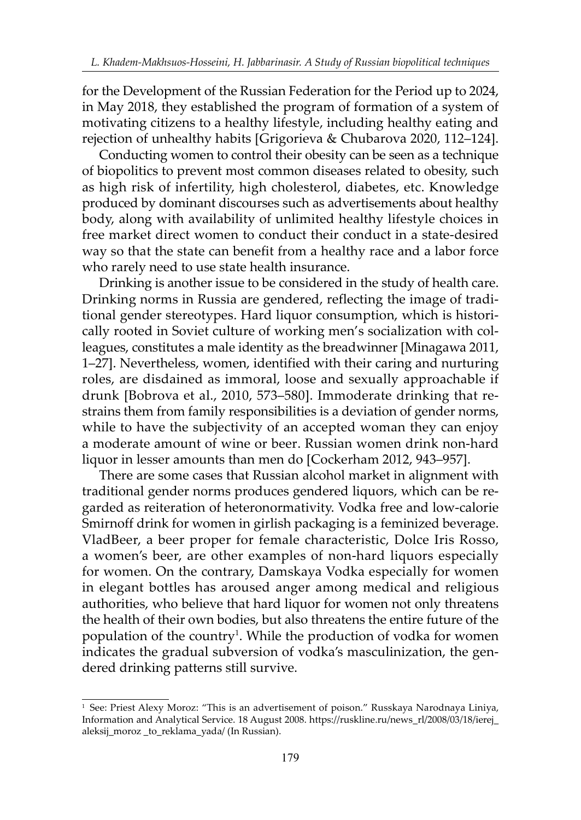for the Development of the Russian Federation for the Period up to 2024, in May 2018, they established the program of formation of a system of motivating citizens to a healthy lifestyle, including healthy eating and rejection of unhealthy habits [Grigorieva & Chubarova 2020, 112–124].

Conducting women to control their obesity can be seen as a technique of biopolitics to prevent most common diseases related to obesity, such as high risk of infertility, high cholesterol, diabetes, etc. Knowledge produced by dominant discourses such as advertisements about healthy body, along with availability of unlimited healthy lifestyle choices in free market direct women to conduct their conduct in a state-desired way so that the state can benefit from a healthy race and a labor force who rarely need to use state health insurance.

Drinking is another issue to be considered in the study of health care. Drinking norms in Russia are gendered, reflecting the image of traditional gender stereotypes. Hard liquor consumption, which is historically rooted in Soviet culture of working men's socialization with colleagues, constitutes a male identity as the breadwinner [Minagawa 2011, 1–27]. Nevertheless, women, identified with their caring and nurturing roles, are disdained as immoral, loose and sexually approachable if drunk [Bobrova et al., 2010, 573–580]. Immoderate drinking that restrains them from family responsibilities is a deviation of gender norms, while to have the subjectivity of an accepted woman they can enjoy a moderate amount of wine or beer. Russian women drink non-hard liquor in lesser amounts than men do [Cockerham 2012, 943–957].

There are some cases that Russian alcohol market in alignment with traditional gender norms produces gendered liquors, which can be regarded as reiteration of heteronormativity. Vodka free and low-calorie Smirnoff drink for women in girlish packaging is a feminized beverage. VladBeer, a beer proper for female characteristic, Dolce Iris Rosso, a women's beer, are other examples of non-hard liquors especially for women. On the contrary, Damskaya Vodka especially for women in elegant bottles has aroused anger among medical and religious authorities, who believe that hard liquor for women not only threatens the health of their own bodies, but also threatens the entire future of the population of the country<sup>1</sup>. While the production of vodka for women indicates the gradual subversion of vodka's masculinization, the gendered drinking patterns still survive.

<sup>1</sup> See: Priest Alexy Moroz: "This is an advertisement of poison." Russkaya Narodnaya Liniya, Information and Analytical Service. 18 August 2008. https://ruskline.ru/news\_rl/2008/03/18/ierej\_ aleksij\_moroz\_to\_reklama\_yada/ (In Russian).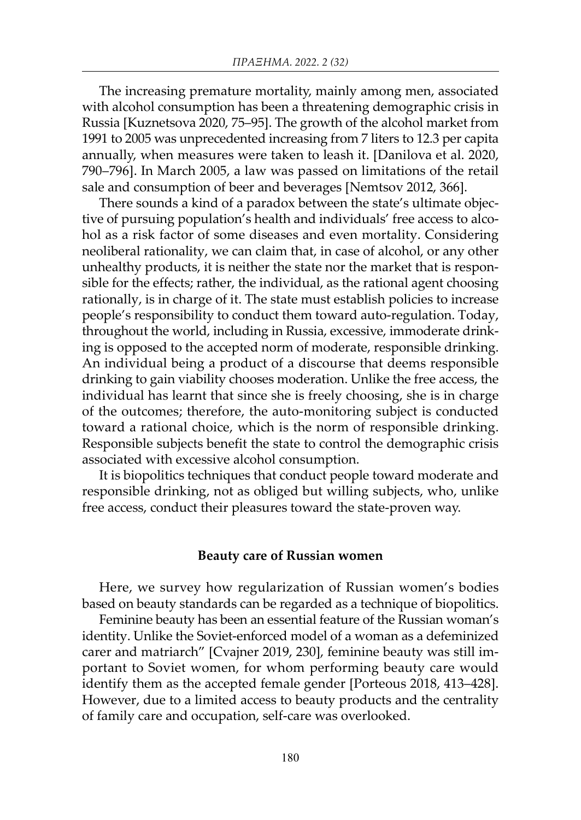The increasing premature mortality, mainly among men, associated with alcohol consumption has been a threatening demographic crisis in Russia [Kuznetsova 2020, 75–95]. The growth of the alcohol market from 1991 to 2005 was unprecedented increasing from 7 liters to 12.3 per capita annually, when measures were taken to leash it. [Danilova et al. 2020, 790–796]. In March 2005, a law was passed on limitations of the retail sale and consumption of beer and beverages [Nemtsov 2012, 366].

There sounds a kind of a paradox between the state's ultimate objective of pursuing population's health and individuals' free access to alcohol as a risk factor of some diseases and even mortality. Considering neoliberal rationality, we can claim that, in case of alcohol, or any other unhealthy products, it is neither the state nor the market that is responsible for the effects; rather, the individual, as the rational agent choosing rationally, is in charge of it. The state must establish policies to increase people's responsibility to conduct them toward auto-regulation. Today, throughout the world, including in Russia, excessive, immoderate drinking is opposed to the accepted norm of moderate, responsible drinking. An individual being a product of a discourse that deems responsible drinking to gain viability chooses moderation. Unlike the free access, the individual has learnt that since she is freely choosing, she is in charge of the outcomes; therefore, the auto-monitoring subject is conducted toward a rational choice, which is the norm of responsible drinking. Responsible subjects benefit the state to control the demographic crisis associated with excessive alcohol consumption.

It is biopolitics techniques that conduct people toward moderate and responsible drinking, not as obliged but willing subjects, who, unlike free access, conduct their pleasures toward the state-proven way.

#### Beauty care of Russian women

Here, we survey how regularization of Russian women's bodies based on beauty standards can be regarded as a technique of biopolitics.

Feminine beauty has been an essential feature of the Russian woman's identity. Unlike the Soviet-enforced model of a woman as a defeminized carer and matriarch" [Cvajner 2019, 230], feminine beauty was still important to Soviet women, for whom performing beauty care would identify them as the accepted female gender [Porteous 2018, 413–428]. However, due to a limited access to beauty products and the centrality of family care and occupation, self-care was overlooked.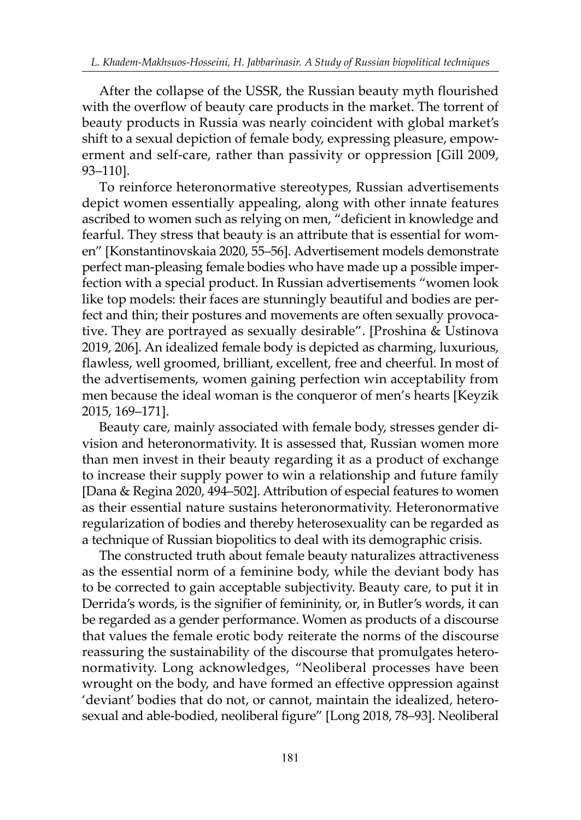After the collapse of the USSR, the Russian beauty myth flourished with the overflow of beauty care products in the market. The torrent of beauty products in Russia was nearly coincident with global market's shift to a sexual depiction of female body, expressing pleasure, empowerment and self-care, rather than passivity or oppression [Gill 2009, 93–110].

To reinforce heteronormative stereotypes, Russian advertisements depict women essentially appealing, along with other innate features ascribed to women such as relying on men, "deficient in knowledge and fearful. They stress that beauty is an attribute that is essential for women" [Konstantinovskaia 2020, 55–56]. Advertisement models demonstrate perfect man-pleasing female bodies who have made up a possible imperfection with a special product. In Russian advertisements "women look like top models: their faces are stunningly beautiful and bodies are perfect and thin; their postures and movements are often sexually provocative. They are portrayed as sexually desirable". [Proshina & Ustinova 2019, 206]. An idealized female body is depicted as charming, luxurious, flawless, well groomed, brilliant, excellent, free and cheerful. In most of the advertisements, women gaining perfection win acceptability from men because the ideal woman is the conqueror of men's hearts [Keyzik 2015, 169–171].

Beauty care, mainly associated with female body, stresses gender division and heteronormativity. It is assessed that, Russian women more than men invest in their beauty regarding it as a product of exchange to increase their supply power to win a relationship and future family [Dana & Regina 2020, 494–502]. Attribution of especial features to women as their essential nature sustains heteronormativity. Heteronormative regularization of bodies and thereby heterosexuality can be regarded as a technique of Russian biopolitics to deal with its demographic crisis.

The constructed truth about female beauty naturalizes attractiveness as the essential norm of a feminine body, while the deviant body has to be corrected to gain acceptable subjectivity. Beauty care, to put it in Derrida's words, is the signifier of femininity, or, in Butler's words, it can be regarded as a gender performance. Women as products of a discourse that values the female erotic body reiterate the norms of the discourse reassuring the sustainability of the discourse that promulgates heteronormativity. Long acknowledges, "Neoliberal processes have been wrought on the body, and have formed an effective oppression against 'deviant' bodies that do not, or cannot, maintain the idealized, heterosexual and able-bodied, neoliberal figure" [Long 2018, 78–93]. Neoliberal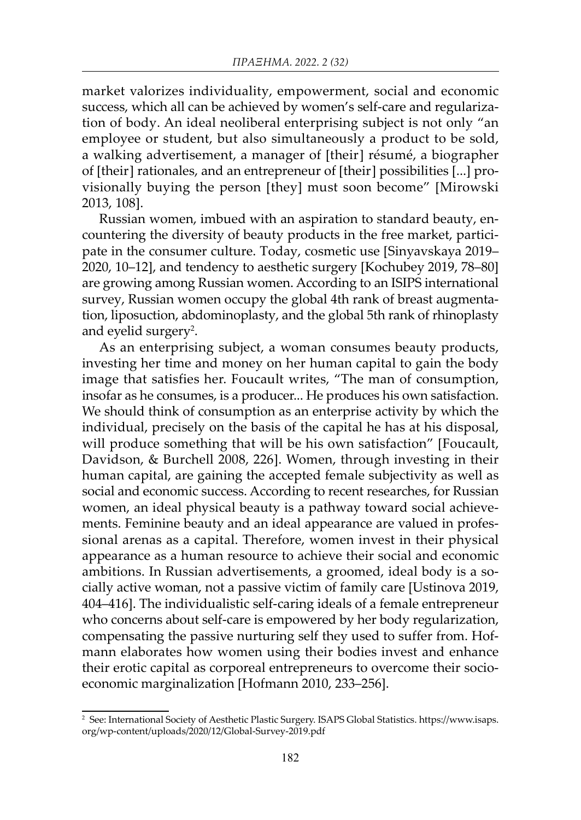market valorizes individuality, empowerment, social and economic success, which all can be achieved by women's self-care and regularization of body. An ideal neoliberal enterprising subject is not only "an employee or student, but also simultaneously a product to be sold, a walking advertisement, a manager of [their] résumé, a biographer of [their] rationales, and an entrepreneur of [their] possibilities [...] provisionally buying the person [they] must soon become" [Mirowski 2013, 108].

Russian women, imbued with an aspiration to standard beauty, encountering the diversity of beauty products in the free market, participate in the consumer culture. Today, cosmetic use [Sinyavskaya 2019– 2020, 10–12], and tendency to aesthetic surgery [Kochubey 2019, 78–80] are growing among Russian women. According to an ISIPS international survey, Russian women occupy the global 4th rank of breast augmentation, liposuction, abdominoplasty, and the global 5th rank of rhinoplasty and eyelid surgery $^2$ .

As an enterprising subject, a woman consumes beauty products, investing her time and money on her human capital to gain the body image that satisfies her. Foucault writes, "The man of consumption, insofar as he consumes, is a producer... He produces his own satisfaction. We should think of consumption as an enterprise activity by which the individual, precisely on the basis of the capital he has at his disposal, will produce something that will be his own satisfaction" [Foucault, Davidson, & Burchell 2008, 226]. Women, through investing in their human capital, are gaining the accepted female subjectivity as well as social and economic success. According to recent researches, for Russian women, an ideal physical beauty is a pathway toward social achievements. Feminine beauty and an ideal appearance are valued in professional arenas as a capital. Therefore, women invest in their physical appearance as a human resource to achieve their social and economic ambitions. In Russian advertisements, a groomed, ideal body is a socially active woman, not a passive victim of family care [Ustinova 2019, 404–416]. The individualistic self-caring ideals of a female entrepreneur who concerns about self-care is empowered by her body regularization, compensating the passive nurturing self they used to suffer from. Hofmann elaborates how women using their bodies invest and enhance their erotic capital as corporeal entrepreneurs to overcome their socioeconomic marginalization [Hofmann 2010, 233–256].

<sup>2</sup> See: International Society of Aesthetic Plastic Surgery. ISAPS Global Statistics. https://www.isaps. org/wp-content/uploads/2020/12/Global-Survey-2019.pdf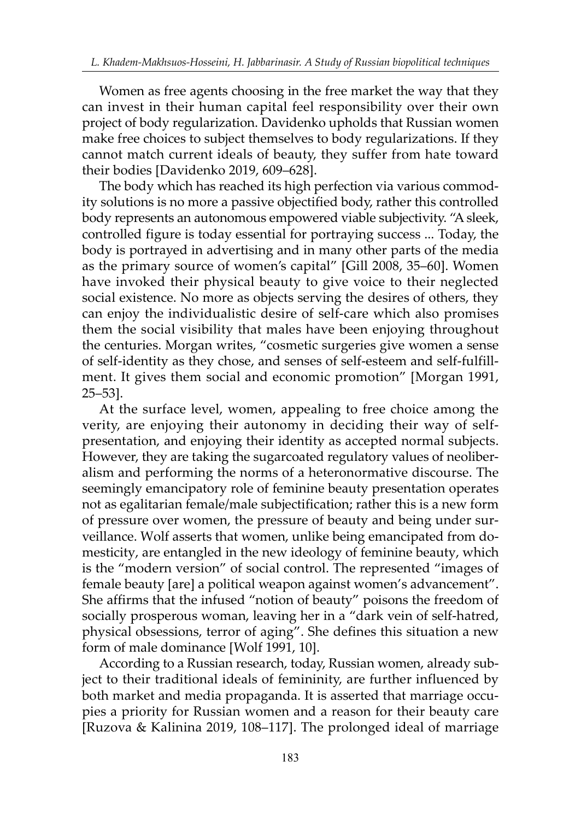Women as free agents choosing in the free market the way that they can invest in their human capital feel responsibility over their own project of body regularization. Davidenko upholds that Russian women make free choices to subject themselves to body regularizations. If they cannot match current ideals of beauty, they suffer from hate toward their bodies [Davidenko 2019, 609–628].

The body which has reached its high perfection via various commodity solutions is no more a passive objectified body, rather this controlled body represents an autonomous empowered viable subjectivity. "A sleek, controlled figure is today essential for portraying success ... Today, the body is portrayed in advertising and in many other parts of the media as the primary source of women's capital" [Gill 2008, 35–60]. Women have invoked their physical beauty to give voice to their neglected social existence. No more as objects serving the desires of others, they can enjoy the individualistic desire of self-care which also promises them the social visibility that males have been enjoying throughout the centuries. Morgan writes, "cosmetic surgeries give women a sense of self-identity as they chose, and senses of self-esteem and self-fulfillment. It gives them social and economic promotion" [Morgan 1991, 25–53].

At the surface level, women, appealing to free choice among the verity, are enjoying their autonomy in deciding their way of selfpresentation, and enjoying their identity as accepted normal subjects. However, they are taking the sugarcoated regulatory values of neoliberalism and performing the norms of a heteronormative discourse. The seemingly emancipatory role of feminine beauty presentation operates not as egalitarian female/male subjectification; rather this is a new form of pressure over women, the pressure of beauty and being under surveillance. Wolf asserts that women, unlike being emancipated from domesticity, are entangled in the new ideology of feminine beauty, which is the "modern version" of social control. The represented "images of female beauty [are] a political weapon against women's advancement". She affirms that the infused "notion of beauty" poisons the freedom of socially prosperous woman, leaving her in a "dark vein of self-hatred, physical obsessions, terror of aging". She defines this situation a new form of male dominance [Wolf 1991, 10].

According to a Russian research, today, Russian women, already subject to their traditional ideals of femininity, are further influenced by both market and media propaganda. It is asserted that marriage occupies a priority for Russian women and a reason for their beauty care [Ruzova & Kalinina 2019, 108–117]. The prolonged ideal of marriage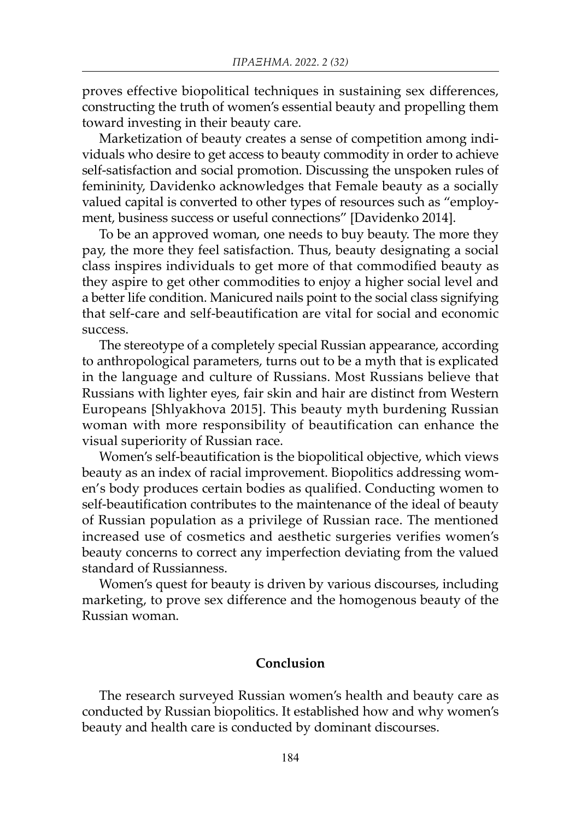proves effective biopolitical techniques in sustaining sex differences, constructing the truth of women's essential beauty and propelling them toward investing in their beauty care.

Marketization of beauty creates a sense of competition among individuals who desire to get access to beauty commodity in order to achieve self-satisfaction and social promotion. Discussing the unspoken rules of femininity, Davidenko acknowledges that Female beauty as a socially valued capital is converted to other types of resources such as "employment, business success or useful connections" [Davidenko 2014].

To be an approved woman, one needs to buy beauty. The more they pay, the more they feel satisfaction. Thus, beauty designating a social class inspires individuals to get more of that commodified beauty as they aspire to get other commodities to enjoy a higher social level and a better life condition. Manicured nails point to the social class signifying that self-care and self-beautification are vital for social and economic success.

The stereotype of a completely special Russian appearance, according to anthropological parameters, turns out to be a myth that is explicated in the language and culture of Russians. Most Russians believe that Russians with lighter eyes, fair skin and hair are distinct from Western Europeans [Shlyakhova 2015]. This beauty myth burdening Russian woman with more responsibility of beautification can enhance the visual superiority of Russian race.

Women's self-beautification is the biopolitical objective, which views beauty as an index of racial improvement. Biopolitics addressing women's body produces certain bodies as qualified. Conducting women to self-beautification contributes to the maintenance of the ideal of beauty of Russian population as a privilege of Russian race. The mentioned increased use of cosmetics and aesthetic surgeries verifies women's beauty concerns to correct any imperfection deviating from the valued standard of Russianness.

Women's quest for beauty is driven by various discourses, including marketing, to prove sex difference and the homogenous beauty of the Russian woman.

### Conclusion

The research surveyed Russian women's health and beauty care as conducted by Russian biopolitics. It established how and why women's beauty and health care is conducted by dominant discourses.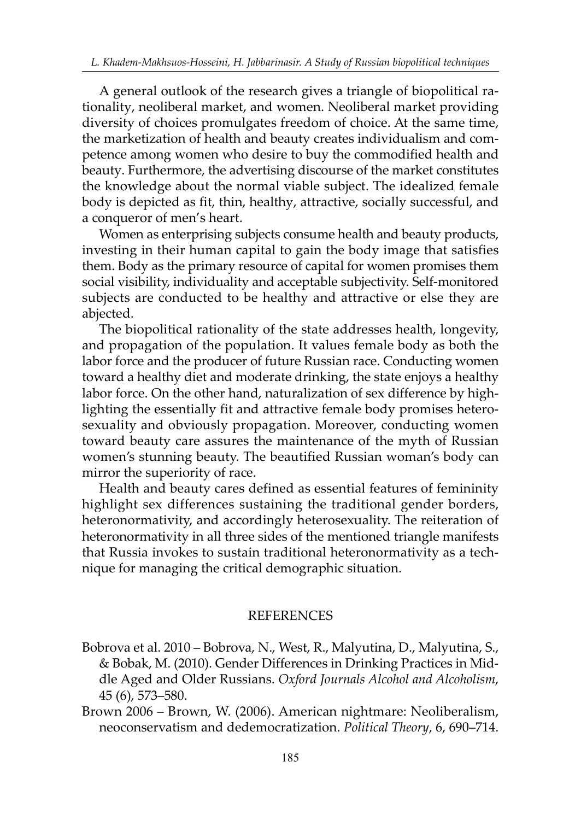A general outlook of the research gives a triangle of biopolitical rationality, neoliberal market, and women. Neoliberal market providing diversity of choices promulgates freedom of choice. At the same time, the marketization of health and beauty creates individualism and competence among women who desire to buy the commodified health and beauty. Furthermore, the advertising discourse of the market constitutes the knowledge about the normal viable subject. The idealized female body is depicted as fit, thin, healthy, attractive, socially successful, and a conqueror of men's heart.

Women as enterprising subjects consume health and beauty products, investing in their human capital to gain the body image that satisfies them. Body as the primary resource of capital for women promises them social visibility, individuality and acceptable subjectivity. Self-monitored subjects are conducted to be healthy and attractive or else they are abjected.

The biopolitical rationality of the state addresses health, longevity, and propagation of the population. It values female body as both the labor force and the producer of future Russian race. Conducting women toward a healthy diet and moderate drinking, the state enjoys a healthy labor force. On the other hand, naturalization of sex difference by highlighting the essentially fit and attractive female body promises heterosexuality and obviously propagation. Moreover, conducting women toward beauty care assures the maintenance of the myth of Russian women's stunning beauty. The beautified Russian woman's body can mirror the superiority of race.

Health and beauty cares defined as essential features of femininity highlight sex differences sustaining the traditional gender borders, heteronormativity, and accordingly heterosexuality. The reiteration of heteronormativity in all three sides of the mentioned triangle manifests that Russia invokes to sustain traditional heteronormativity as a technique for managing the critical demographic situation.

### REFERENCES

- Bobrova et al. 2010 Bobrova, N., West, R., Malyutina, D., Malyutina, S., & Bobak, M. (2010). Gender Differences in Drinking Practices in Middle Aged and Older Russians. *Oxford Journals Alcohol and Alcoholism*, 45 (6), 573–580.
- Brown 2006 Brown, W. (2006). American nightmare: Neoliberalism, neoconservatism and dedemocratization. *Political Theory*, 6, 690–714.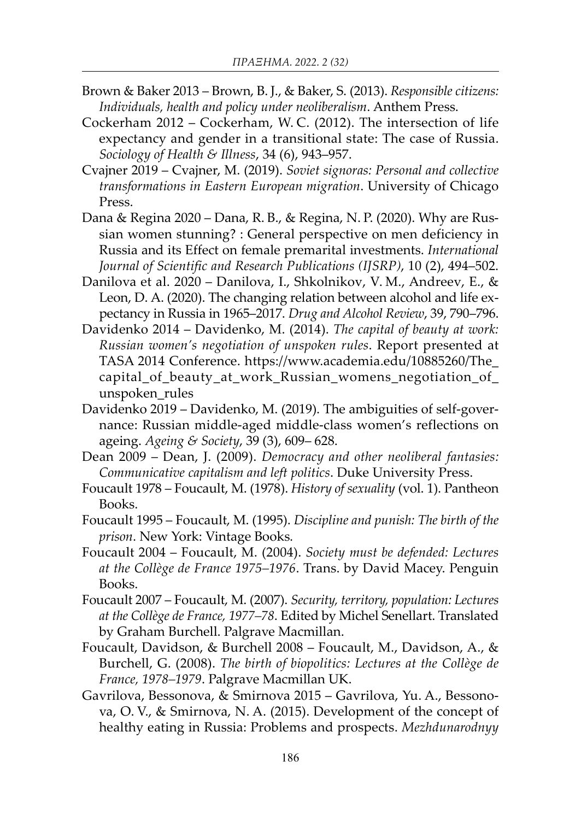- Brown & Baker 2013 Brown, B. J., & Baker, S. (2013). *Responsible citizens: Individuals, health and policy under neoliberalism*. Anthem Press.
- Cockerham 2012 Cockerham, W. C. (2012). The intersection of life expectancy and gender in a transitional state: The case of Russia. *Sociology of Health & Illness*, 34 (6), 943–957.
- Cvajner 2019 Cvajner, M. (2019). *Soviet signoras: Personal and collective transformations in Eastern European migration*. University of Chicago Press.
- Dana & Regina 2020 Dana, R. B., & Regina, N. P. (2020). Why are Russian women stunning? : General perspective on men deficiency in Russia and its Effect on female premarital investments. *International Journal of Scientific and Research Publications (IJSRP)*, 10 (2), 494–502.
- Danilova et al. 2020 Danilova, I., Shkolnikov, V. M., Andreev, E., & Leon, D. A. (2020). The changing relation between alcohol and life expectancy in Russia in 1965–2017. *Drug and Alcohol Review*, 39, 790–796.
- Davidenko 2014 Davidenko, M. (2014). *The capital of beauty at work: Russian women's negotiation of unspoken rules*. Report presented at TASA 2014 Conference. https://www.academia.edu/10885260/The\_ capital\_of\_beauty\_at\_work\_Russian\_womens\_negotiation\_of\_ unspoken\_rules
- Davidenko 2019 Davidenko, M. (2019). The ambiguities of self-governance: Russian middle-aged middle-class women's reflections on ageing. *Ageing & Society*, 39 (3), 609– 628.
- Dean 2009 Dean, J. (2009). *Democracy and other neoliberal fantasies: Communicative capitalism and left politics*. Duke University Press.
- Foucault 1978 Foucault, M. (1978). *History of sexuality* (vol. 1). Pantheon Books.
- Foucault 1995 Foucault, M. (1995). *Discipline and punish: The birth of the prison*. New York: Vintage Books.
- Foucault 2004 Foucault, M. (2004). *Society must be defended: Lectures at the Collège de France 1975–1976*. Trans. by David Macey. Penguin Books.
- Foucault 2007 Foucault, M. (2007). *Security, territory, population: Lectures at the Collège de France, 1977–78*. Edited by Michel Senellart. Translated by Graham Burchell. Palgrave Macmillan.
- Foucault, Davidson, & Burchell 2008 Foucault, M., Davidson, A., & Burchell, G. (2008). *The birth of biopolitics: Lectures at the Collège de France, 1978–1979*. Palgrave Macmillan UK.
- Gavrilova, Bessonova, & Smirnova 2015 Gavrilova, Yu. A., Bessonova, O. V., & Smirnova, N. A. (2015). Development of the concept of healthy eating in Russia: Problems and prospects. *Mezhdunarodnyy*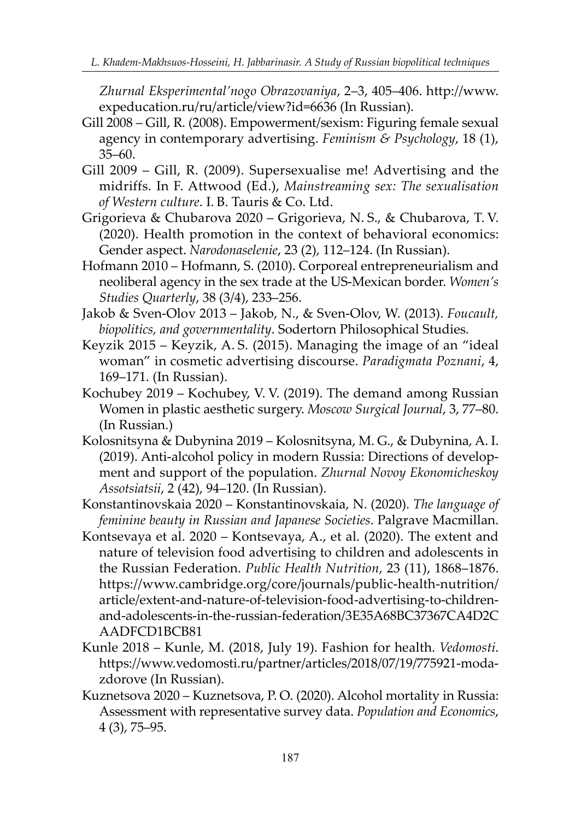*Zhurnal Eksperimental'nogo Obrazovaniya*, 2–3, 405–406. http://www. expeducation.ru/ru/article/view?id=6636 (In Russian).

- Gill 2008 Gill, R. (2008). Empowerment/sexism: Figuring female sexual agency in contemporary advertising. *Feminism & Psychology*, 18 (1), 35–60.
- Gill 2009 Gill, R. (2009). Supersexualise me! Advertising and the midriffs. In F. Attwood (Ed.), *Mainstreaming sex: The sexualisation of Western culture*. I. B. Tauris & Co. Ltd.
- Grigorieva & Chubarova 2020 Grigorieva, N. S., & Chubarova, T. V. (2020). Health promotion in the context of behavioral economics: Gender aspect. *Narodonaselenie*, 23 (2), 112–124. (In Russian).
- Hofmann 2010 Hofmann, S. (2010). Corporeal entrepreneurialism and neoliberal agency in the sex trade at the US-Mexican border. *Women's Studies Quarterly*, 38 (3/4), 233–256.
- Jakob & Sven-Olov 2013 Jakob, N., & Sven-Olov, W. (2013). *Foucault, biopolitics, and governmentality*. Sodertorn Philosophical Studies.
- Keyzik 2015 Keyzik, A. S. (2015). Managing the image of an "ideal woman" in cosmetic advertising discourse. *Paradigmata Poznani*, 4, 169–171. (In Russian).
- Kochubey 2019 Kochubey, V. V. (2019). The demand among Russian Women in plastic aesthetic surgery. *Moscow Surgical Journal*, 3, 77–80. (In Russian.)
- Kolosnitsyna & Dubynina 2019 Kolosnitsyna, M. G., & Dubynina, A. I. (2019). Anti-alcohol policy in modern Russia: Directions of development and support of the population. *Zhurnal Novoy Ekonomicheskoy Assotsiatsii*, 2 (42), 94–120. (In Russian).

Konstantinovskaia 2020 – Konstantinovskaia, N. (2020). *The language of feminine beauty in Russian and Japanese Societies*. Palgrave Macmillan.

- Kontsevaya et al. 2020 Kontsevaya, A., et al. (2020). The extent and nature of television food advertising to children and adolescents in the Russian Federation. *Public Health Nutrition*, 23 (11), 1868–1876. https://www.cambridge.org/core/journals/public-health-nutrition/ article/extent-and-nature-of-television-food-advertising-to-childrenand-adolescents-in-the-russian-federation/3E35A68BC37367CA4D2C AADFCD1BCB81
- Kunle 2018 Kunle, M. (2018, July 19). Fashion for health. *Vedomosti*. https://www.vedomosti.ru/partner/articles/2018/07/19/775921-modazdorove (In Russian).
- Kuznetsova 2020 Kuznetsova, P. O. (2020). Alcohol mortality in Russia: Assessment with representative survey data. *Population and Economics*, 4 (3), 75–95.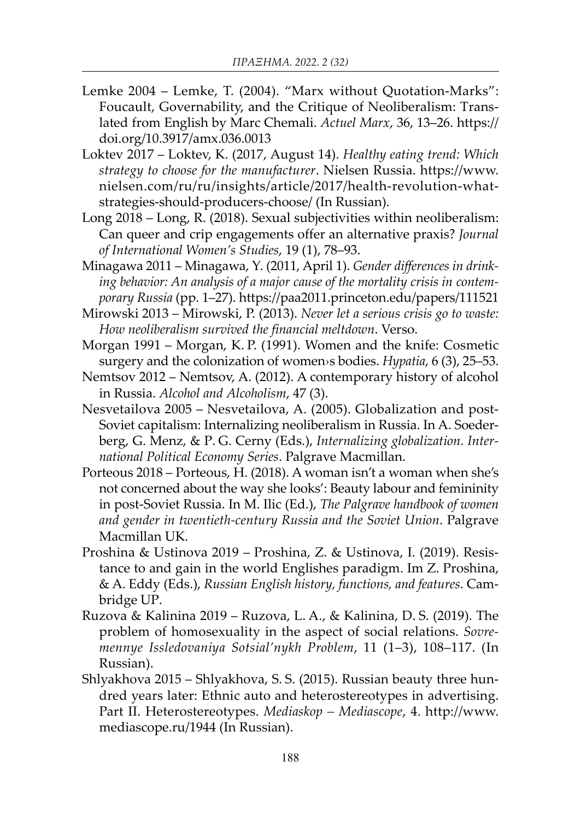- Lemke 2004 Lemke, T. (2004). "Marx without Quotation-Marks": Foucault, Governability, and the Critique of Neoliberalism: Translated from English by Marc Chemali. *Actuel Marx*, 36, 13–26. https:// doi.org/10.3917/amx.036.0013
- Loktev 2017 Loktev, K. (2017, August 14). *Healthy eating trend: Which strategy to choose for the manufacturer*. Nielsen Russia. https://www. nielsen.com/ru/ru/insights/article/2017/health-revolution-whatstrategies-should-producers-choose/ (In Russian).
- Long 2018 Long, R. (2018). Sexual subjectivities within neoliberalism: Can queer and crip engagements offer an alternative praxis? *Journal of International Women's Studies*, 19 (1), 78–93.
- Minagawa 2011 Minagawa, Y. (2011, April 1). *Gender differences in drinking behavior: An analysis of a major cause of the mortality crisis in contemporary Russia* (pp. 1–27). https://paa2011.princeton.edu/papers/111521
- Mirowski 2013 Mirowski, P. (2013). *Never let a serious crisis go to waste: How neoliberalism survived the financial meltdown*. Verso.
- Morgan 1991 Morgan, K. P. (1991). Women and the knife: Cosmetic surgery and the colonization of women›s bodies. *Hypatia*, 6 (3), 25–53.
- Nemtsov 2012 Nemtsov, A. (2012). A contemporary history of alcohol in Russia. *Alcohol and Alcoholism*, 47 (3).
- Nesvetailova 2005 Nesvetailova, A. (2005). Globalization and post-Soviet capitalism: Internalizing neoliberalism in Russia. In A. Soederberg, G. Menz, & P. G. Cerny (Eds.), *Internalizing globalization. International Political Economy Series*. Palgrave Macmillan.
- Porteous 2018 Porteous, H. (2018). A woman isn't a woman when she's not concerned about the way she looks': Beauty labour and femininity in post-Soviet Russia. In M. Ilic (Ed.), *The Palgrave handbook of women and gender in twentieth-century Russia and the Soviet Union*. Palgrave Macmillan UK.
- Proshina & Ustinova 2019 Proshina, Z. & Ustinova, I. (2019). Resistance to and gain in the world Englishes paradigm. Im Z. Proshina, & A. Eddy (Eds.), *Russian English history, functions, and features*. Cambridge UP.
- Ruzova & Kalinina 2019 Ruzova, L. A., & Kalinina, D. S. (2019). The problem of homosexuality in the aspect of social relations. *Sovremennye Issledovaniya Sotsial'nykh Problem*, 11 (1–3), 108–117. (In Russian).
- Shlyakhova 2015 Shlyakhova, S. S. (2015). Russian beauty three hundred years later: Ethnic auto and heterostereotypes in advertising. Part II. Heterostereotypes. *Mediaskop – Mediascope*, 4. http://www. mediascope.ru/1944 (In Russian).